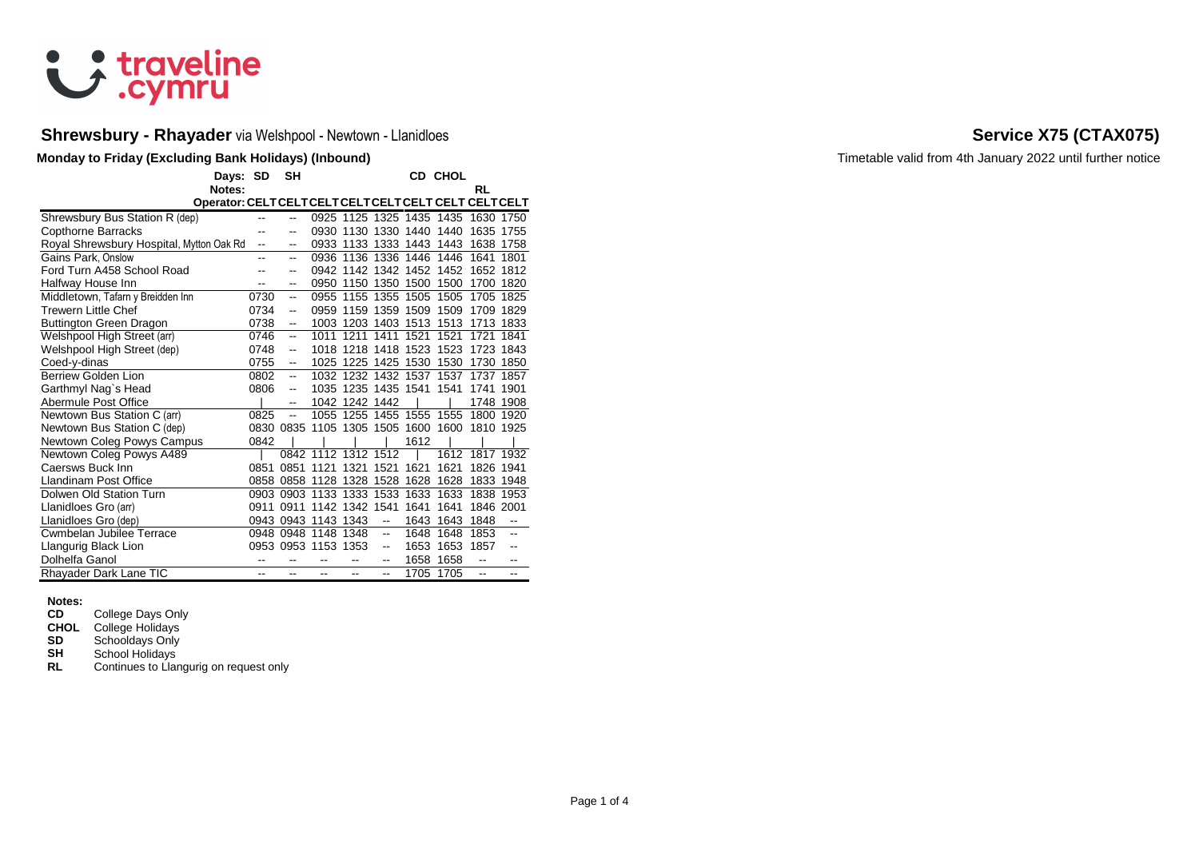

# Shrewsbury - Rhayader via Welshpool - Newtown - Llanidloes **Service X75 (CTAX075) Service X75 (CTAX075)**

|                                          | Days: SD<br>Notes: |      | <b>SH</b>                |                               |                     |                          |                          | CD CHOL | RL        |                          |
|------------------------------------------|--------------------|------|--------------------------|-------------------------------|---------------------|--------------------------|--------------------------|---------|-----------|--------------------------|
|                                          |                    |      |                          |                               |                     |                          |                          |         |           |                          |
| Shrewsbury Bus Station R (dep)           |                    |      | $\overline{a}$           |                               |                     |                          | 0925 1125 1325 1435 1435 |         | 1630 1750 |                          |
| <b>Copthorne Barracks</b>                |                    |      | --                       |                               |                     |                          | 0930 1130 1330 1440 1440 |         | 1635 1755 |                          |
| Royal Shrewsbury Hospital, Mytton Oak Rd |                    | --   | --                       |                               |                     |                          | 0933 1133 1333 1443      | 1443    | 1638 1758 |                          |
| Gains Park. Onslow                       |                    | --   | $\overline{\phantom{a}}$ |                               |                     |                          | 0936 1136 1336 1446      | 1446    | 1641      | 1801                     |
| Ford Turn A458 School Road               |                    |      |                          |                               |                     |                          | 0942 1142 1342 1452 1452 |         | 1652 1812 |                          |
| Halfway House Inn                        |                    |      | --                       | 0950                          | 1150 1350 1500      |                          |                          | 1500    | 1700      | 1820                     |
| Middletown, Tafarn y Breidden Inn        |                    | 0730 | $\overline{\phantom{a}}$ |                               | 0955 1155 1355 1505 |                          |                          | 1505    | 1705 1825 |                          |
| Trewern Little Chef                      |                    | 0734 | $\overline{\phantom{a}}$ |                               |                     |                          | 0959 1159 1359 1509      | 1509    | 1709 1829 |                          |
| Buttington Green Dragon                  |                    | 0738 | ۰.                       |                               | 1003 1203 1403 1513 |                          |                          | 1513    | 1713 1833 |                          |
| Welshpool High Street (arr)              |                    | 0746 | --                       | 1011                          | 1211 1411           |                          | 1521                     | 1521    | 1721      | 1841                     |
| Welshpool High Street (dep)              |                    | 0748 | $\overline{a}$           |                               | 1018 1218 1418 1523 |                          |                          | 1523    | 1723 1843 |                          |
| Coed-y-dinas                             |                    | 0755 | --                       |                               | 1025 1225 1425 1530 |                          |                          | 1530    | 1730      | 1850                     |
| <b>Berriew Golden Lion</b>               |                    | 0802 | $\overline{a}$           |                               |                     |                          | 1032 1232 1432 1537      | 1537    | 1737      | 1857                     |
| Garthmyl Nag`s Head                      |                    | 0806 | $\overline{\phantom{a}}$ |                               | 1035 1235 1435 1541 |                          |                          | 1541    | 1741      | 1901                     |
| Abermule Post Office                     |                    |      | $\overline{\phantom{a}}$ |                               | 1042 1242 1442      |                          |                          |         |           | 1748 1908                |
| Newtown Bus Station C (arr)              |                    | 0825 | $\overline{a}$           |                               |                     |                          | 1055 1255 1455 1555 1555 |         | 1800 1920 |                          |
| Newtown Bus Station C (dep)              |                    |      |                          | 0830 0835 1105 1305 1505 1600 |                     |                          |                          | 1600    | 1810 1925 |                          |
| Newtown Coleg Powys Campus               |                    | 0842 |                          |                               |                     |                          | 1612                     |         |           |                          |
| Newtown Coleg Powys A489                 |                    |      |                          | 0842 1112 1312 1512           |                     |                          |                          | 1612    | 1817 1932 |                          |
| Caersws Buck Inn                         |                    | 0851 | 0851                     | 1121                          | 1321                | 1521                     | 1621                     | 1621    | 1826 1941 |                          |
| Llandinam Post Office                    |                    |      |                          | 0858 0858 1128 1328 1528 1628 |                     |                          |                          | 1628    | 1833 1948 |                          |
| Dolwen Old Station Turn                  |                    |      |                          | 0903 0903 1133 1333           |                     | 1533                     | 1633                     | 1633    | 1838      | 1953                     |
| Llanidloes Gro (arr)                     |                    | 0911 | 0911                     |                               | 1142 1342 1541      |                          | 1641                     | 1641    | 1846 2001 |                          |
| Llanidloes Gro (dep)                     |                    |      |                          | 0943 0943 1143 1343           |                     | $\overline{\phantom{a}}$ | 1643                     | 1643    | 1848      | $\overline{\phantom{a}}$ |
| Cwmbelan Jubilee Terrace                 |                    |      |                          | 0948 0948 1148 1348           |                     | $\ddotsc$                | 1648                     | 1648    | 1853      | --                       |
| Llangurig Black Lion                     |                    |      |                          | 0953 0953 1153 1353           |                     | --                       | 1653                     | 1653    | 1857      |                          |
| Dolhelfa Ganol                           |                    | --   |                          |                               |                     | --                       | 1658                     | 1658    | --        |                          |
| Rhayader Dark Lane TIC                   |                    | --   | --                       | --                            |                     | Щ,                       | 1705                     | 1705    | --        | --                       |

**Notes: College Days Only** 

**CHOL** College Holidays<br>**SD** Schooldays Only

**SD** Schooldays Only<br> **SH** School Holidays

**SH** School Holidays<br>**RL** Continues to Llar

**Continues to Llangurig on request only** 

**Monday to Friday (Excluding Bank Holidays) (Inbound)** Timetable valid from 4th January 2022 until further notice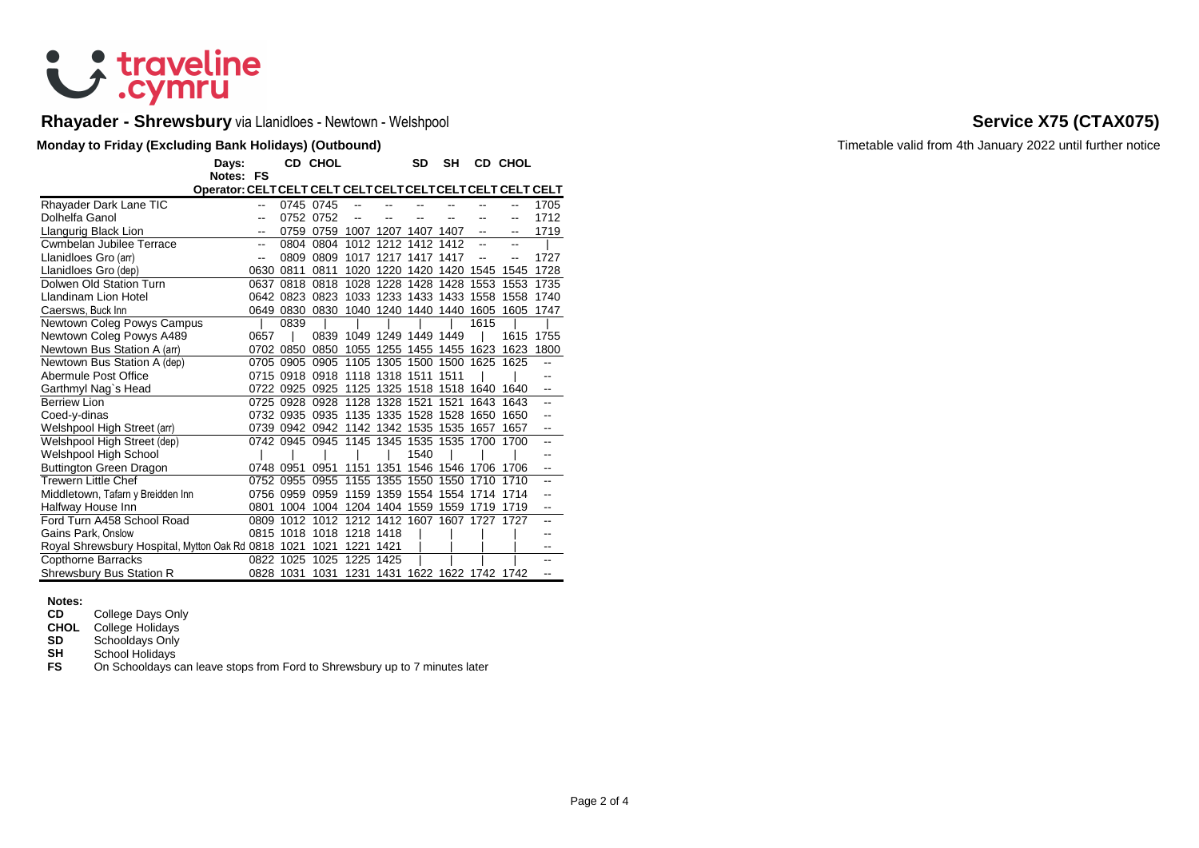# & traveline

# **Rhayader - Shrewsbury** via Llanidloes - Newtown - Welshpool **Service X75 (CTAX075)**

### **Monday to Friday (Excluding Bank Holidays) (Outbound) Timetable valid from 4th January 2022 until further notice**

|                                                    | Days:                    |           | CD CHOL                                 |                               |                | SD                       | <b>SH</b> |      | CD CHOL                       |                |
|----------------------------------------------------|--------------------------|-----------|-----------------------------------------|-------------------------------|----------------|--------------------------|-----------|------|-------------------------------|----------------|
|                                                    | Notes: FS                |           |                                         |                               |                |                          |           |      |                               |                |
|                                                    |                          |           |                                         |                               |                |                          |           |      |                               |                |
| Rhayader Dark Lane TIC                             | $\overline{\phantom{a}}$ |           | 0745 0745                               | --                            |                |                          |           |      | --                            | 1705           |
| Dolhelfa Ganol                                     | --                       |           | 0752 0752                               | --                            |                |                          |           |      | --                            | 1712           |
| Llangurig Black Lion                               | --                       | 0759      | 0759 1007 1207 1407 1407                |                               |                |                          |           | --   | --                            | 1719           |
| <b>Cwmbelan Jubilee Terrace</b>                    | --                       | 0804      | 0804                                    |                               | 1012 1212 1412 |                          | 1412      |      | --                            |                |
| Llanidloes Gro (arr)                               | --                       | 0809      | 0809                                    |                               |                | 1017 1217 1417 1417      |           |      |                               | 1727           |
| Llanidloes Gro (dep)                               | 0630                     | 0811      | 0811                                    |                               |                | 1020 1220 1420 1420 1545 |           |      | 1545                          | 1728           |
| Dolwen Old Station Turn                            | 0637                     | 0818      | 0818                                    | 1028                          |                | 1228 1428 1428           |           | 1553 | 1553                          | 1735           |
| Llandinam Lion Hotel                               |                          | 0642 0823 | 0823                                    |                               |                | 1033 1233 1433 1433 1558 |           |      | 1558                          | 1740           |
| Caersws, Buck Inn                                  |                          | 0649 0830 | 0830                                    |                               |                | 1040 1240 1440 1440 1605 |           |      | 1605                          | 1747           |
| Newtown Coleg Powys Campus                         |                          | 0839      |                                         |                               |                |                          |           | 1615 |                               |                |
| Newtown Coleg Powys A489                           | 0657                     |           | 0839                                    | 1049 1249 1449 1449           |                |                          |           |      | 1615                          | 1755           |
| Newtown Bus Station A (arr)                        | 0702                     | 0850      | 0850                                    |                               |                | 1055 1255 1455 1455      |           | 1623 | 1623                          | 1800           |
| Newtown Bus Station A (dep)                        | 0705                     | 0905      | 0905 1105 1305 1500 1500 1625           |                               |                |                          |           |      | 1625                          | $\overline{a}$ |
| Abermule Post Office                               |                          | 0715 0918 | 0918 1118 1318 1511                     |                               |                |                          | 1511      |      |                               |                |
| Garthmyl Nag`s Head                                | 0722                     | 0925      | 0925                                    |                               |                | 1125 1325 1518 1518 1640 |           |      | 1640                          |                |
| <b>Berriew Lion</b>                                | 0725                     | 0928      | 0928 1128 1328 1521 1521                |                               |                |                          |           | 1643 | 1643                          | --             |
| Coed-y-dinas                                       |                          | 0732 0935 | 0935 1135 1335 1528 1528                |                               |                |                          |           | 1650 | 1650                          |                |
| Welshpool High Street (arr)                        |                          | 0739 0942 | 0942 1142 1342 1535 1535 1657           |                               |                |                          |           |      | 1657                          | --             |
| Welshpool High Street (dep)                        |                          |           | 0742 0945 0945 1145 1345 1535 1535 1700 |                               |                |                          |           |      | 1700                          | --             |
| Welshpool High School                              |                          |           |                                         |                               |                | 1540                     |           |      |                               |                |
| Buttington Green Dragon                            | 0748                     | 0951      | 0951                                    | 1151                          | 1351           |                          | 1546 1546 | 1706 | 1706                          |                |
| <b>Trewern Little Chef</b>                         | 0752                     | 0955      | 0955                                    | 1155                          | 1355           | 1550                     | 1550      | 1710 | 1710                          | --             |
| Middletown, Tafarn y Breidden Inn                  |                          | 0756 0959 | 0959 1159 1359 1554 1554 1714           |                               |                |                          |           |      | 1714                          | --             |
| Halfway House Inn                                  | 0801                     | 1004      |                                         | 1004 1204 1404 1559 1559 1719 |                |                          |           |      | 1719                          | --             |
| Ford Turn A458 School Road                         | 0809                     | 1012      | 1012                                    |                               |                |                          |           |      | 1212 1412 1607 1607 1727 1727 | --             |
| Gains Park, Onslow                                 |                          | 0815 1018 |                                         | 1018 1218 1418                |                |                          |           |      |                               | --             |
| Royal Shrewsbury Hospital, Mytton Oak Rd 0818 1021 |                          |           | 1021                                    | 1221                          | 1421           |                          |           |      |                               | --             |
| <b>Copthorne Barracks</b>                          |                          | 0822 1025 | 1025                                    | 1225                          | 1425           |                          |           |      |                               | --             |
| Shrewsbury Bus Station R                           |                          | 0828 1031 | 1031                                    | 1231 1431 1622 1622 1742 1742 |                |                          |           |      |                               | --             |

# **Notes:**

**CD** College Days Only<br>**CHOL** College Holidays

**CHOL** College Holidays<br> **SD** Schooldays Only

**SD** Schooldays Only<br> **SH** School Holidays

**SH** School Holidays<br> **FS** On Schooldays c

**FS** On Schooldays can leave stops from Ford to Shrewsbury up to 7 minutes later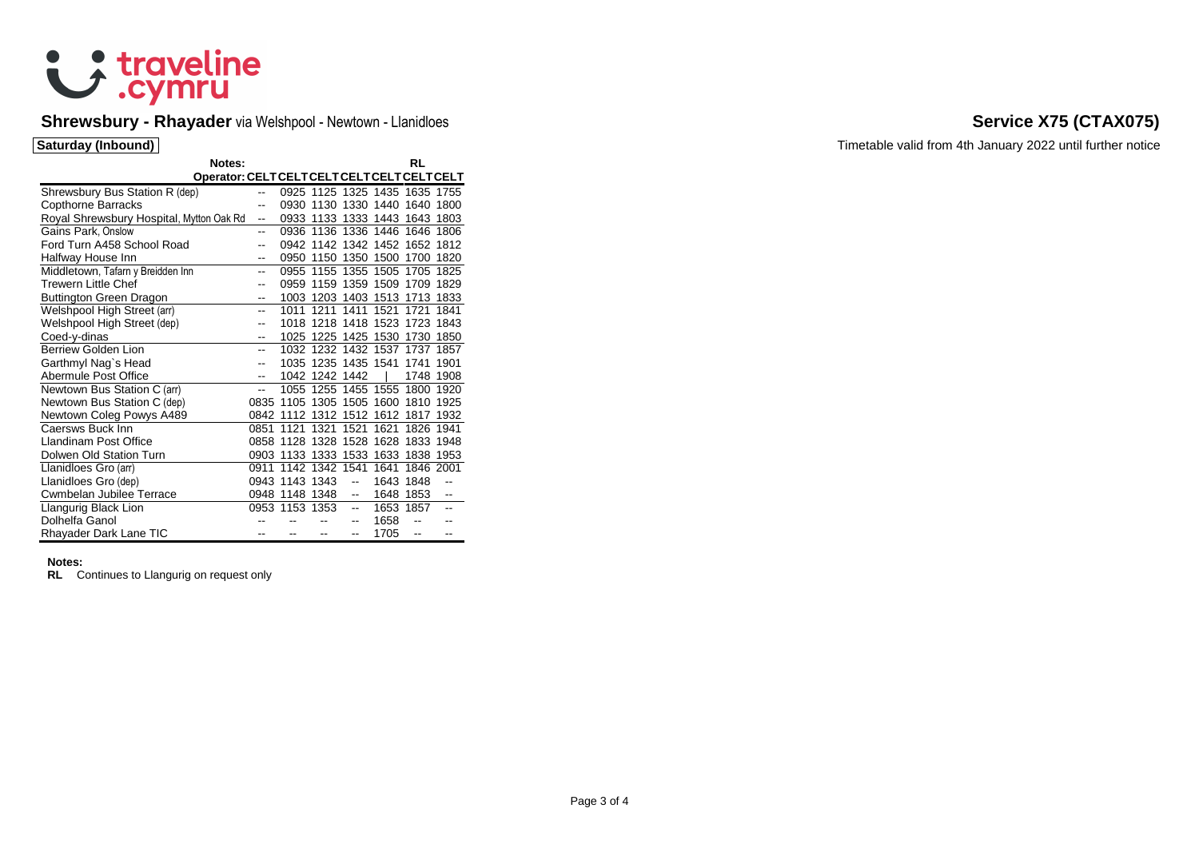

# Shrewsbury - Rhayader via Welshpool - Newtown - Llanidloes **Service X75 (CTAX075) Service X75 (CTAX075)**

|                                          | Notes:                                     |                |                |                     |                          |                                    | RL             |                          |
|------------------------------------------|--------------------------------------------|----------------|----------------|---------------------|--------------------------|------------------------------------|----------------|--------------------------|
|                                          | Operator: CELTCELTCELTCELTCELTCELTCELTCELT |                |                |                     |                          |                                    |                |                          |
| Shrewsbury Bus Station R (dep)           |                                            | $\overline{a}$ |                |                     |                          | 0925 1125 1325 1435 1635 1755      |                |                          |
| Copthorne Barracks                       |                                            | --             |                |                     |                          | 0930 1130 1330 1440 1640           |                | 1800                     |
| Royal Shrewsbury Hospital, Mytton Oak Rd |                                            | --             |                |                     |                          | 0933 1133 1333 1443 1643 1803      |                |                          |
| Gains Park, Onslow                       |                                            | --             |                |                     |                          | 0936 1136 1336 1446 1646           |                | 1806                     |
| Ford Turn A458 School Road               |                                            |                |                |                     |                          | 0942 1142 1342 1452 1652 1812      |                |                          |
|                                          |                                            | --             |                |                     |                          | 0950 1150 1350 1500 1700           |                |                          |
| Halfway House Inn                        |                                            | --             |                |                     |                          |                                    |                | 1820                     |
| Middletown, Tafarn y Breidden Inn        |                                            | --             |                |                     |                          | 0955 1155 1355 1505 1705           |                | 1825                     |
| Trewern Little Chef                      |                                            | --             |                |                     |                          | 0959 1159 1359 1509 1709           |                | 1829                     |
| Buttington Green Dragon                  |                                            | --             |                |                     |                          | 1003 1203 1403 1513 1713 1833      |                |                          |
| Welshpool High Street (arr)              |                                            | --             |                | 1011 1211 1411      |                          | 1521                               | 1721           | 1841                     |
| Welshpool High Street (dep)              |                                            | --             |                |                     |                          | 1018 1218 1418 1523 1723           |                | 1843                     |
| Coed-y-dinas                             |                                            | --             |                |                     |                          | 1025 1225 1425 1530 1730           |                | 1850                     |
| Berriew Golden Lion                      |                                            | --             |                |                     |                          | 1032 1232 1432 1537 1737           |                | 1857                     |
| Garthmyl Nag`s Head                      |                                            | --             |                | 1035 1235 1435 1541 |                          |                                    | 1741           | 1901                     |
| Abermule Post Office                     |                                            | --             |                | 1042 1242 1442      |                          |                                    | 1748           | 1908                     |
| Newtown Bus Station C (arr)              |                                            | --             |                |                     |                          | 1055 1255 1455 1555 1800 1920      |                |                          |
| Newtown Bus Station C (dep)              |                                            | 0835           |                |                     |                          | 1105 1305 1505 1600 1810           |                | 1925                     |
| Newtown Coleg Powys A489                 |                                            |                |                |                     |                          | 0842 1112 1312 1512 1612 1817 1932 |                |                          |
| Caersws Buck Inn                         |                                            | 0851           | 1121           | 1321                | 1521                     | 1621                               | 1826           | 1941                     |
| Llandinam Post Office                    |                                            |                |                |                     |                          | 0858 1128 1328 1528 1628 1833 1948 |                |                          |
| Dolwen Old Station Turn                  |                                            |                |                |                     |                          | 0903 1133 1333 1533 1633 1838      |                | 1953                     |
| Llanidloes Gro (arr)                     |                                            | 0911           |                | 1142 1342 1541      |                          | 1641                               | 1846 2001      |                          |
| Llanidloes Gro (dep)                     |                                            |                | 0943 1143 1343 |                     | --                       | 1643 1848                          |                | $\overline{a}$           |
| Cwmbelan Jubilee Terrace                 |                                            | 0948           | 1148 1348      |                     | --                       | 1648                               | 1853           | $\overline{\phantom{a}}$ |
| Llangurig Black Lion                     |                                            |                | 0953 1153 1353 |                     | $\overline{\phantom{a}}$ | 1653 1857                          |                | $\sim$                   |
| Dolhelfa Ganol                           |                                            |                |                |                     | --                       | 1658                               |                |                          |
| Rhayader Dark Lane TIC                   |                                            |                |                | --                  | --                       | 1705                               | $\overline{a}$ |                          |

### **Notes:**

**RL** Continues to Llangurig on request only

**Saturday (Inbound)** Timetable valid from 4th January 2022 until further notice